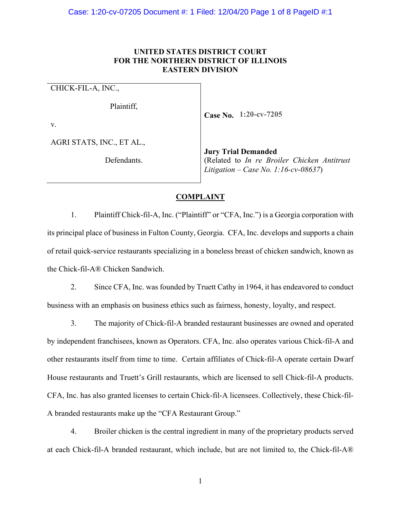# **UNITED STATES DISTRICT COURT FOR THE NORTHERN DISTRICT OF ILLINOIS EASTERN DIVISION**

CHICK-FIL-A, INC.,

Plaintiff,

v.

AGRI STATS, INC., ET AL.,

Defendants.

**Case No. 1:20-cv-7205**

**Jury Trial Demande** (Related to *In re Broiler Chicken Antitrus Litigation – Case No. 1:16-cv-08637*)

#### **COMPLAINT**

1. Plaintiff Chick-fil-A, Inc. ("Plaintiff" or "CFA, Inc.") is a Georgia corporation with its principal place of business in Fulton County, Georgia. CFA, Inc. develops and supports a chain of retail quick-service restaurants specializing in a boneless breast of chicken sandwich, known as the Chick-fil-A® Chicken Sandwich.

2. Since CFA, Inc. was founded by Truett Cathy in 1964, it has endeavored to conduct business with an emphasis on business ethics such as fairness, honesty, loyalty, and respect.

3. The majority of Chick-fil-A branded restaurant businesses are owned and operated by independent franchisees, known as Operators. CFA, Inc. also operates various Chick-fil-A and other restaurants itself from time to time. Certain affiliates of Chick-fil-A operate certain Dwarf House restaurants and Truett's Grill restaurants, which are licensed to sell Chick-fil-A products. CFA, Inc. has also granted licenses to certain Chick-fil-A licensees. Collectively, these Chick-fil-A branded restaurants make up the "CFA Restaurant Group."

4. Broiler chicken is the central ingredient in many of the proprietary products served at each Chick-fil-A branded restaurant, which include, but are not limited to, the Chick-fil-A®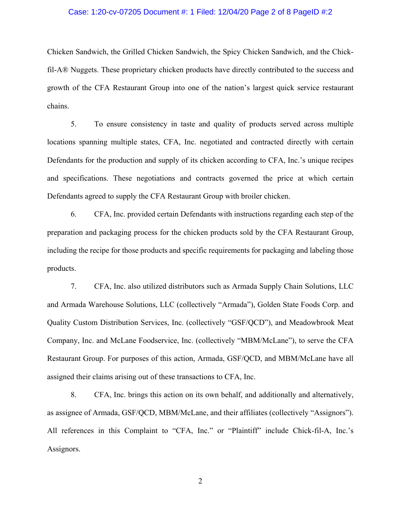#### Case: 1:20-cv-07205 Document #: 1 Filed: 12/04/20 Page 2 of 8 PageID #:2

Chicken Sandwich, the Grilled Chicken Sandwich, the Spicy Chicken Sandwich, and the Chickfil-A® Nuggets. These proprietary chicken products have directly contributed to the success and growth of the CFA Restaurant Group into one of the nation's largest quick service restaurant chains.

5. To ensure consistency in taste and quality of products served across multiple locations spanning multiple states, CFA, Inc. negotiated and contracted directly with certain Defendants for the production and supply of its chicken according to CFA, Inc.'s unique recipes and specifications. These negotiations and contracts governed the price at which certain Defendants agreed to supply the CFA Restaurant Group with broiler chicken.

6. CFA, Inc. provided certain Defendants with instructions regarding each step of the preparation and packaging process for the chicken products sold by the CFA Restaurant Group, including the recipe for those products and specific requirements for packaging and labeling those products.

7. CFA, Inc. also utilized distributors such as Armada Supply Chain Solutions, LLC and Armada Warehouse Solutions, LLC (collectively "Armada"), Golden State Foods Corp. and Quality Custom Distribution Services, Inc. (collectively "GSF/QCD"), and Meadowbrook Meat Company, Inc. and McLane Foodservice, Inc. (collectively "MBM/McLane"), to serve the CFA Restaurant Group. For purposes of this action, Armada, GSF/QCD, and MBM/McLane have all assigned their claims arising out of these transactions to CFA, Inc.

8. CFA, Inc. brings this action on its own behalf, and additionally and alternatively, as assignee of Armada, GSF/QCD, MBM/McLane, and their affiliates (collectively "Assignors"). All references in this Complaint to "CFA, Inc." or "Plaintiff" include Chick-fil-A, Inc.'s Assignors.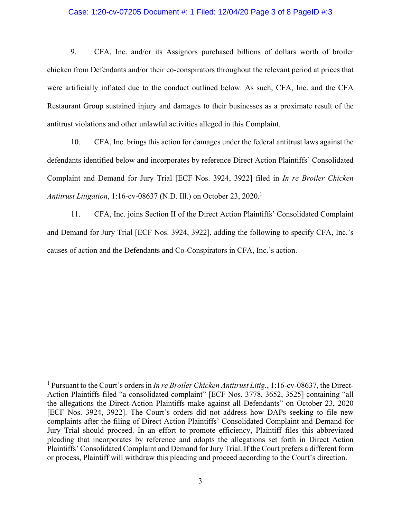# Case: 1:20-cv-07205 Document #: 1 Filed: 12/04/20 Page 3 of 8 PageID #:3

9. CFA, Inc. and/or its Assignors purchased billions of dollars worth of broiler chicken from Defendants and/or their co-conspirators throughout the relevant period at prices that were artificially inflated due to the conduct outlined below. As such, CFA, Inc. and the CFA Restaurant Group sustained injury and damages to their businesses as a proximate result of the antitrust violations and other unlawful activities alleged in this Complaint.

10. CFA, Inc. brings this action for damages under the federal antitrust laws against the defendants identified below and incorporates by reference Direct Action Plaintiffs' Consolidated Complaint and Demand for Jury Trial [ECF Nos. 3924, 3922] filed in *In re Broiler Chicken Antitrust Litigation*, 1:16-cv-08637 (N.D. Ill.) on October 23, 2020.<sup>1</sup>

11. CFA, Inc. joins Section II of the Direct Action Plaintiffs' Consolidated Complaint and Demand for Jury Trial [ECF Nos. 3924, 3922], adding the following to specify CFA, Inc.'s causes of action and the Defendants and Co-Conspirators in CFA, Inc.'s action.

.

<sup>&</sup>lt;sup>1</sup> Pursuant to the Court's orders in *In re Broiler Chicken Antitrust Litig.*, 1:16-cv-08637, the Direct-Action Plaintiffs filed "a consolidated complaint" [ECF Nos. 3778, 3652, 3525] containing "all the allegations the Direct-Action Plaintiffs make against all Defendants" on October 23, 2020 [ECF Nos. 3924, 3922]. The Court's orders did not address how DAPs seeking to file new complaints after the filing of Direct Action Plaintiffs' Consolidated Complaint and Demand for Jury Trial should proceed. In an effort to promote efficiency, Plaintiff files this abbreviated pleading that incorporates by reference and adopts the allegations set forth in Direct Action Plaintiffs' Consolidated Complaint and Demand for Jury Trial. If the Court prefers a different form or process, Plaintiff will withdraw this pleading and proceed according to the Court's direction.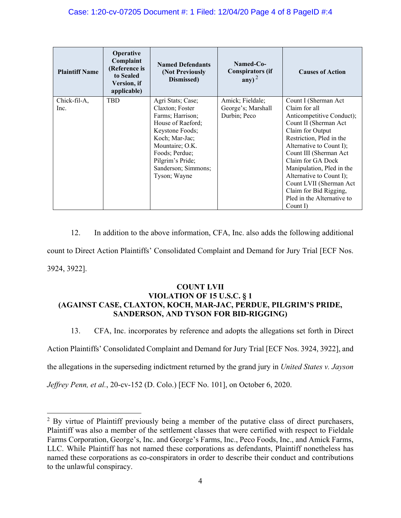| <b>Plaintiff Name</b> | <b>Operative</b><br>Complaint<br>(Reference is<br>to Sealed<br>Version, if<br>applicable) | <b>Named Defendants</b><br>(Not Previously<br>Dismissed) | Named-Co-<br><b>Conspirators (if</b><br>any) <sup>2</sup> | <b>Causes of Action</b>    |
|-----------------------|-------------------------------------------------------------------------------------------|----------------------------------------------------------|-----------------------------------------------------------|----------------------------|
| Chick-fil-A,          | <b>TBD</b>                                                                                | Agri Stats; Case;                                        | Amick; Fieldale;                                          | Count I (Sherman Act)      |
| Inc.                  |                                                                                           | Claxton; Foster                                          | George's; Marshall                                        | Claim for all              |
|                       |                                                                                           | Farms; Harrison;                                         | Durbin; Peco                                              | Anticompetitive Conduct);  |
|                       |                                                                                           | House of Raeford;                                        |                                                           | Count II (Sherman Act      |
|                       |                                                                                           | Keystone Foods;                                          |                                                           | Claim for Output           |
|                       |                                                                                           | Koch; Mar-Jac;                                           |                                                           | Restriction, Pled in the   |
|                       |                                                                                           | Mountaire; O.K.                                          |                                                           | Alternative to Count I);   |
|                       |                                                                                           | Foods; Perdue;                                           |                                                           | Count III (Sherman Act     |
|                       |                                                                                           | Pilgrim's Pride;                                         |                                                           | Claim for GA Dock          |
|                       |                                                                                           | Sanderson; Simmons;                                      |                                                           | Manipulation, Pled in the  |
|                       |                                                                                           | Tyson; Wayne                                             |                                                           | Alternative to Count I);   |
|                       |                                                                                           |                                                          |                                                           | Count LVII (Sherman Act    |
|                       |                                                                                           |                                                          |                                                           | Claim for Bid Rigging,     |
|                       |                                                                                           |                                                          |                                                           | Pled in the Alternative to |
|                       |                                                                                           |                                                          |                                                           | Count I)                   |

12. In addition to the above information, CFA, Inc. also adds the following additional count to Direct Action Plaintiffs' Consolidated Complaint and Demand for Jury Trial [ECF Nos. 3924, 3922].

# **COUNT LVII VIOLATION OF 15 U.S.C. § 1 (AGAINST CASE, CLAXTON, KOCH, MAR-JAC, PERDUE, PILGRIM'S PRIDE, SANDERSON, AND TYSON FOR BID-RIGGING)**

13. CFA, Inc. incorporates by reference and adopts the allegations set forth in Direct

Action Plaintiffs' Consolidated Complaint and Demand for Jury Trial [ECF Nos. 3924, 3922], and

the allegations in the superseding indictment returned by the grand jury in *United States v. Jayson* 

*Jeffrey Penn, et al.*, 20-cv-152 (D. Colo.) [ECF No. 101], on October 6, 2020.

L

 $2^2$  By virtue of Plaintiff previously being a member of the putative class of direct purchasers, Plaintiff was also a member of the settlement classes that were certified with respect to Fieldale Farms Corporation, George's, Inc. and George's Farms, Inc., Peco Foods, Inc., and Amick Farms, LLC. While Plaintiff has not named these corporations as defendants, Plaintiff nonetheless has named these corporations as co-conspirators in order to describe their conduct and contributions to the unlawful conspiracy.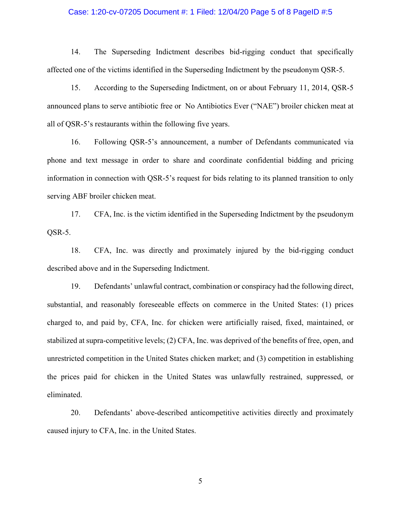#### Case: 1:20-cv-07205 Document #: 1 Filed: 12/04/20 Page 5 of 8 PageID #:5

14. The Superseding Indictment describes bid-rigging conduct that specifically affected one of the victims identified in the Superseding Indictment by the pseudonym QSR-5.

15. According to the Superseding Indictment, on or about February 11, 2014, QSR-5 announced plans to serve antibiotic free or No Antibiotics Ever ("NAE") broiler chicken meat at all of QSR-5's restaurants within the following five years.

16. Following QSR-5's announcement, a number of Defendants communicated via phone and text message in order to share and coordinate confidential bidding and pricing information in connection with QSR-5's request for bids relating to its planned transition to only serving ABF broiler chicken meat.

17. CFA, Inc. is the victim identified in the Superseding Indictment by the pseudonym QSR-5.

18. CFA, Inc. was directly and proximately injured by the bid-rigging conduct described above and in the Superseding Indictment.

19. Defendants' unlawful contract, combination or conspiracy had the following direct, substantial, and reasonably foreseeable effects on commerce in the United States: (1) prices charged to, and paid by, CFA, Inc. for chicken were artificially raised, fixed, maintained, or stabilized at supra-competitive levels; (2) CFA, Inc. was deprived of the benefits of free, open, and unrestricted competition in the United States chicken market; and (3) competition in establishing the prices paid for chicken in the United States was unlawfully restrained, suppressed, or eliminated.

20. Defendants' above-described anticompetitive activities directly and proximately caused injury to CFA, Inc. in the United States.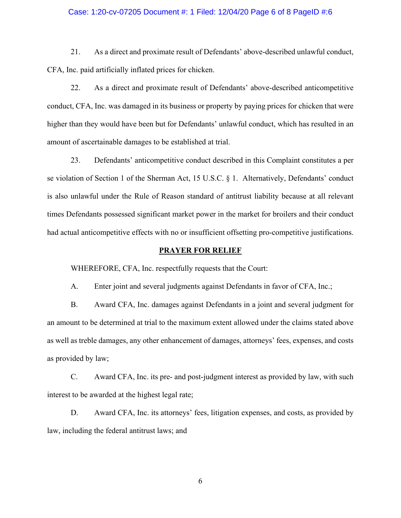#### Case: 1:20-cv-07205 Document #: 1 Filed: 12/04/20 Page 6 of 8 PageID #:6

21. As a direct and proximate result of Defendants' above-described unlawful conduct, CFA, Inc. paid artificially inflated prices for chicken.

22. As a direct and proximate result of Defendants' above-described anticompetitive conduct, CFA, Inc. was damaged in its business or property by paying prices for chicken that were higher than they would have been but for Defendants' unlawful conduct, which has resulted in an amount of ascertainable damages to be established at trial.

23. Defendants' anticompetitive conduct described in this Complaint constitutes a per se violation of Section 1 of the Sherman Act, 15 U.S.C. § 1. Alternatively, Defendants' conduct is also unlawful under the Rule of Reason standard of antitrust liability because at all relevant times Defendants possessed significant market power in the market for broilers and their conduct had actual anticompetitive effects with no or insufficient offsetting pro-competitive justifications.

# **PRAYER FOR RELIEF**

WHEREFORE, CFA, Inc. respectfully requests that the Court:

A. Enter joint and several judgments against Defendants in favor of CFA, Inc.;

B. Award CFA, Inc. damages against Defendants in a joint and several judgment for an amount to be determined at trial to the maximum extent allowed under the claims stated above as well as treble damages, any other enhancement of damages, attorneys' fees, expenses, and costs as provided by law;

C. Award CFA, Inc. its pre- and post-judgment interest as provided by law, with such interest to be awarded at the highest legal rate;

D. Award CFA, Inc. its attorneys' fees, litigation expenses, and costs, as provided by law, including the federal antitrust laws; and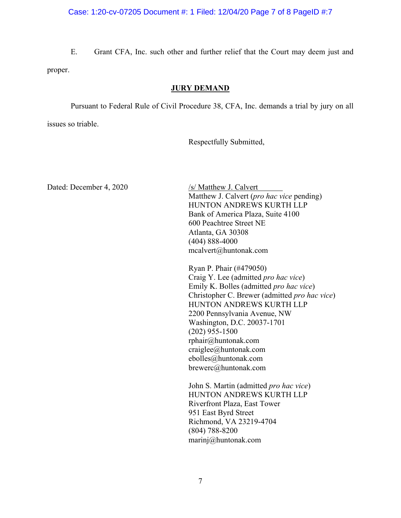# Case: 1:20-cv-07205 Document #: 1 Filed: 12/04/20 Page 7 of 8 PageID #:7

E. Grant CFA, Inc. such other and further relief that the Court may deem just and proper.

# **JURY DEMAND**

Pursuant to Federal Rule of Civil Procedure 38, CFA, Inc. demands a trial by jury on all

issues so triable.

Respectfully Submitted,

Dated: December 4, 2020 /s/ Matthew J. Calvert

Matthew J. Calvert (*pro hac vice* pending) HUNTON ANDREWS KURTH LLP Bank of America Plaza, Suite 4100 600 Peachtree Street NE Atlanta, GA 30308 (404) 888-4000 mcalvert@huntonak.com

Ryan P. Phair (#479050) Craig Y. Lee (admitted *pro hac vice*) Emily K. Bolles (admitted *pro hac vice*) Christopher C. Brewer (admitted *pro hac vice*) HUNTON ANDREWS KURTH LLP 2200 Pennsylvania Avenue, NW Washington, D.C. 20037-1701 (202) 955-1500 rphair@huntonak.com craiglee@huntonak.com ebolles@huntonak.com brewerc@huntonak.com

John S. Martin (admitted *pro hac vice*) HUNTON ANDREWS KURTH LLP Riverfront Plaza, East Tower 951 East Byrd Street Richmond, VA 23219-4704 (804) 788-8200 marinj@huntonak.com